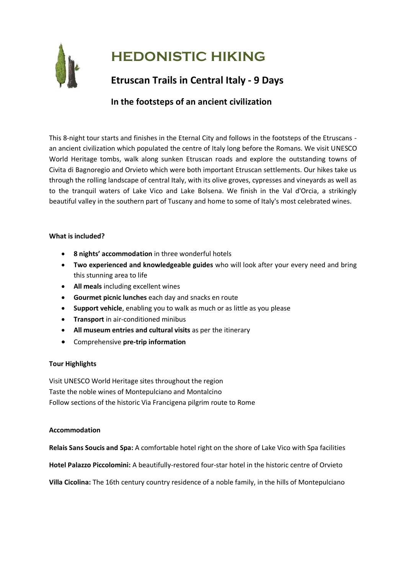

# **HEDONISTIC HIKING**

# **Etruscan Trails in Central Italy - 9 Days**

# **In the footsteps of an ancient civilization**

This 8-night tour starts and finishes in the Eternal City and follows in the footsteps of the Etruscans an ancient civilization which populated the centre of Italy long before the Romans. We visit UNESCO World Heritage tombs, walk along sunken Etruscan roads and explore the outstanding towns of Civita di Bagnoregio and Orvieto which were both important Etruscan settlements. Our hikes take us through the rolling landscape of central Italy, with its olive groves, cypresses and vineyards as well as to the tranquil waters of Lake Vico and Lake Bolsena. We finish in the Val d'Orcia, a strikingly beautiful valley in the southern part of Tuscany and home to some of Italy's most celebrated wines.

## **What is included?**

- **8 nights' accommodation** in three wonderful hotels
- **Two experienced and knowledgeable guides** who will look after your every need and bring this stunning area to life
- **All meals** including excellent wines
- **Gourmet picnic lunches** each day and snacks en route
- **Support vehicle**, enabling you to walk as much or as little as you please
- **Transport** in air-conditioned minibus
- **All museum entries and cultural visits** as per the itinerary
- Comprehensive **pre-trip information**

# **Tour Highlights**

Visit UNESCO World Heritage sites throughout the region Taste the noble wines of Montepulciano and Montalcino Follow sections of the historic Via Francigena pilgrim route to Rome

# **Accommodation**

**Relais Sans Soucis and Spa:** A comfortable hotel right on the shore of Lake Vico with Spa facilities

**Hotel Palazzo Piccolomini:** A beautifully-restored four-star hotel in the historic centre of Orvieto

**Villa Cicolina:** The 16th century country residence of a noble family, in the hills of Montepulciano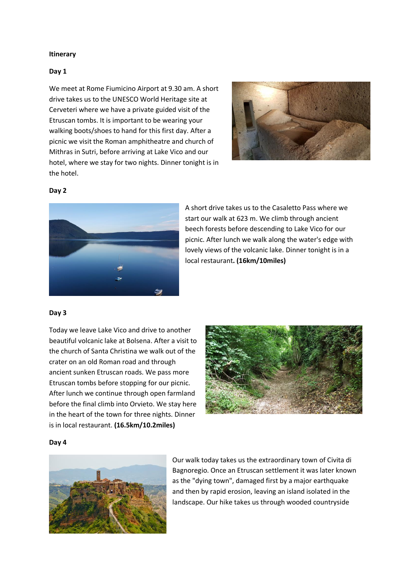#### **Itinerary**

#### **Day 1**

We meet at Rome Fiumicino Airport at 9.30 am. A short drive takes us to the UNESCO World Heritage site at Cerveteri where we have a private guided visit of the Etruscan tombs. It is important to be wearing your walking boots/shoes to hand for this first day. After a picnic we visit the Roman amphitheatre and church of Mithras in Sutri, before arriving at Lake Vico and our hotel, where we stay for two nights. Dinner tonight is in the hotel.



#### **Day 2**



A short drive takes us to the Casaletto Pass where we start our walk at 623 m. We climb through ancient beech forests before descending to Lake Vico for our picnic. After lunch we walk along the water's edge with lovely views of the volcanic lake. Dinner tonight is in a local restaurant**. (16km/10miles)**

#### **Day 3**

Today we leave Lake Vico and drive to another beautiful volcanic lake at Bolsena. After a visit to the church of Santa Christina we walk out of the crater on an old Roman road and through ancient sunken Etruscan roads. We pass more Etruscan tombs before stopping for our picnic. After lunch we continue through open farmland before the final climb into Orvieto. We stay here in the heart of the town for three nights. Dinner is in local restaurant. **(16.5km/10.2miles)**



#### **Day 4**



Our walk today takes us the extraordinary town of Civita di Bagnoregio. Once an Etruscan settlement it was later known as the "dying town", damaged first by a major earthquake and then by rapid erosion, leaving an island isolated in the landscape. Our hike takes us through wooded countryside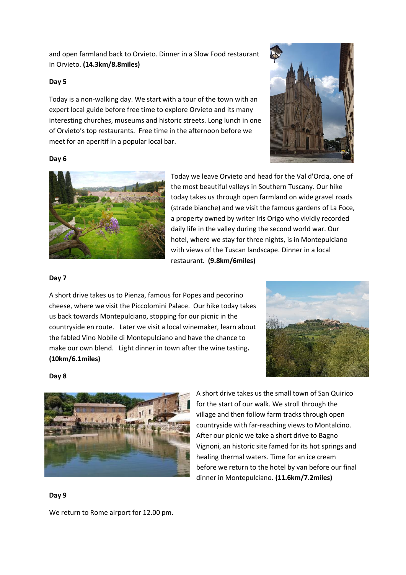and open farmland back to Orvieto. Dinner in a Slow Food restaurant in Orvieto. **(14.3km/8.8miles)**

## **Day 5**

Today is a non-walking day. We start with a tour of the town with an expert local guide before free time to explore Orvieto and its many interesting churches, museums and historic streets. Long lunch in one of Orvieto's top restaurants. Free time in the afternoon before we meet for an aperitif in a popular local bar.



#### **Day 6**



Today we leave Orvieto and head for the Val d'Orcia, one of the most beautiful valleys in Southern Tuscany. Our hike today takes us through open farmland on wide gravel roads (strade bianche) and we visit the famous gardens of La Foce, a property owned by writer Iris Origo who vividly recorded daily life in the valley during the second world war. Our hotel, where we stay for three nights, is in Montepulciano with views of the Tuscan landscape. Dinner in a local restaurant. **(9.8km/6miles)**

#### **Day 7**

A short drive takes us to Pienza, famous for Popes and pecorino cheese, where we visit the Piccolomini Palace. Our hike today takes us back towards Montepulciano, stopping for our picnic in the countryside en route. Later we visit a local winemaker, learn about the fabled Vino Nobile di Montepulciano and have the chance to make our own blend. Light dinner in town after the wine tasting**. (10km/6.1miles)**



#### **Day 8**



A short drive takes us the small town of San Quirico for the start of our walk. We stroll through the village and then follow farm tracks through open countryside with far-reaching views to Montalcino. After our picnic we take a short drive to Bagno Vignoni, an historic site famed for its hot springs and healing thermal waters. Time for an ice cream before we return to the hotel by van before our final dinner in Montepulciano. **(11.6km/7.2miles)**

**Day 9**

We return to Rome airport for 12.00 pm.